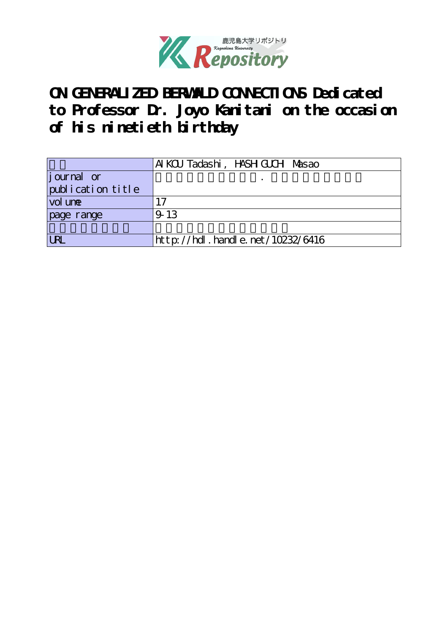

# **ON GENERALIZED BERWALD CONNECTIONS Dedicated to Professor Dr. Joyo Kanitani on the occasion of his ninetieth birthday**

|                    | Al KCU Tadashi, HASH GUCH Masao  |
|--------------------|----------------------------------|
| <i>j</i> ournal or |                                  |
| publication title  |                                  |
| vol une            | . 7                              |
| page range         | 9-13                             |
|                    |                                  |
| <b>LRL</b>         | http://hdl.handle.net/10232/6416 |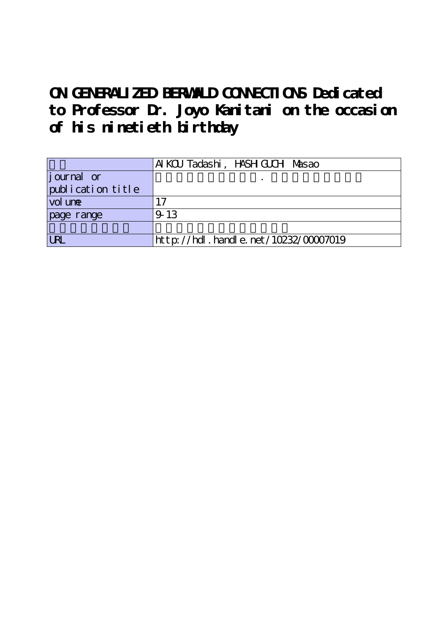# **ON GENERALIZED BERWALD CONNECTIONS Dedicated to Professor Dr. Joyo Kanitani on the occasion of his ninetieth birthday**

|                    | AI KCU Tadashi, HASH GUCH Masao           |
|--------------------|-------------------------------------------|
| <i>j</i> ournal or |                                           |
| publication title  |                                           |
| vol une            | $\mathbf{1}$                              |
| page range         | 9-13                                      |
|                    |                                           |
| <b>ILRL</b>        | $http$ ://hdl. handle. net/10232/00007019 |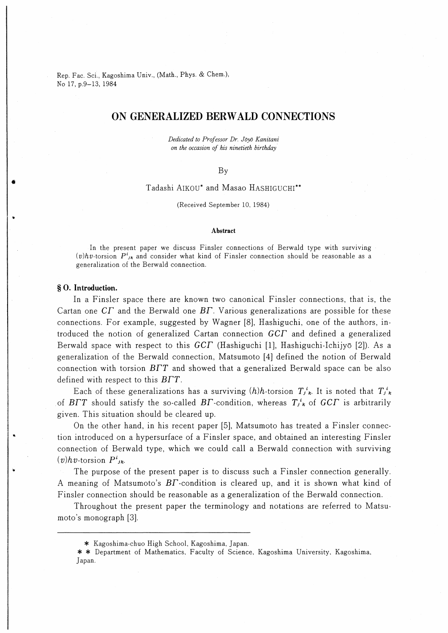Rep. Fac. Sci., Kagoshima Univ., (Math., Phys. & Chem.) No 17, p.9-13, 1984

# ON GENERALIZED BERWALD CONNECTIONS

Dedicated to Professor Dr. Joy∂ Kanitani on the occasion of his ninetieth birthday

### By

# Tadashi AIKOU\* and Masao HaSHIGUCHI\*\*

(Received September 10, 1984)

#### Abstract

In the present paper we discuss Finsler connections of Berwald type with surviving (v)hv-torsion  $P_{i,k}^{i}$  and consider what kind of Finsler connection should be reasonable as a generalization of the Berwald connection,

# § O. Introduction.

In a Finsler space there are known two canonical Finsler connections, that is, the Cartan one  $CT$  and the Berwald one  $BT$ . Various generalizations are possible for these connections. For example, suggested by Wagner [8], Hashiguchi, one of the authors, introduced the notion of generalized Cartan connection GCF and defined a generalized Berwald space with respect to this  $GCT$  (Hashiguchi [1], Hashiguchi-Ichijyō [2]). As a generalization of the Berwald connection, Matsumoto [4] defined the notion of Berwald connection with torsion  $B\Gamma T$  and showed that a generalized Berwald space can be also defined with respect to this  $B\Gamma T$ .

Each of these generalizations has a surviving  $(h)h$ -torsion  $T_{j,k}^i$ . It is noted that  $T_{j,k}^i$ of BFT should satisfy the so-called BF-condition, whereas  $T_{jk}^i$  of GCF is arbitrarily given. This situation should be cleared up.

On the other hand, in his recent paper [5], Matsumoto has treated a Finsler connection introduced on a hypersurface of a Finsler space, and obtained an interesting Finsler connection of Berwald type, which we could call a Berwald connection with surviving  $(v)hv$ -torsion  $P^i_{jk}$ .

The purpose of the present paper is to discuss such a Finsler connection generally. A meaning of Matsumoto's  $BT$ -condition is cleared up, and it is shown what kind of Finsler connection should be reasonable as a generalization of the Berwald connection.

Throughout the present paper the terminology and notations are referred to Matsumoto's monograph [3].

<sup>\*</sup> Kagoshima-chuo High School, Kagoshima, Japan.

<sup>\* \*</sup> Department of Mathematics, Faculty of Science, Kagoshima University, Kagoshima, Japan.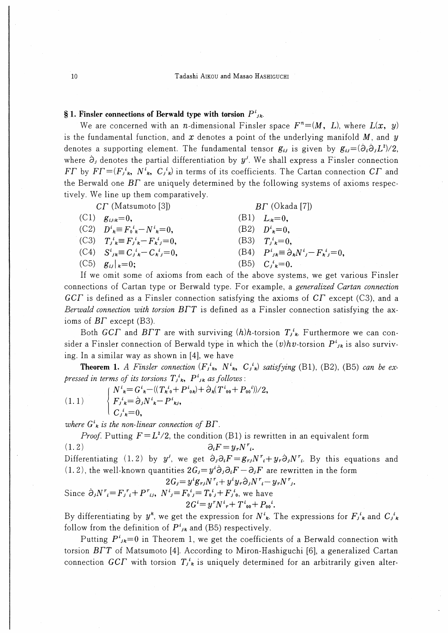10 Tadashi AIKOU and Masao HASHIGUCHI

# § 1. Finsler connections of Berwald type with torsion  $P^{i}_{jk}$ .

We are concerned with an *n*-dimensional Finsler space  $F^n = (M, L)$ , where  $L(x, y)$ is the fundamental function, and  $x$  denotes a point of the underlying manifold  $M$ , and  $y$ denotes a supporting element. The fundamental tensor  $g_{ij}$  is given by  $g_{ij}={(\partial_i \partial_j L^2)/2}$ , where  $\partial_i$  denotes the partial differentiation by  $y^j$ . We shall express a Finsler connection  $FT$  by  $FT=(F_i^i_k, N_i^i, C_i^i)$  in terms of its coefficients. The Cartan connection  $CT$  and the Berwald one  $BT$  are uniquely determined by the following systems of axioms respectively. We line up them comparatively.

| $CT$ (Matsumoto [3]) |                                                                        | $BT$ (Okada [7])                                                  |  |
|----------------------|------------------------------------------------------------------------|-------------------------------------------------------------------|--|
|                      | $(C1)$ $g_{ijk}=0$ ,                                                   | (B1) $L_{k} = 0$ ,                                                |  |
|                      | (C2) $D^i{}_{\kappa} \equiv F_0{}^i{}_{\kappa} - N^i{}_{\kappa} = 0$ , | (B2) $D^i_{\kappa} = 0$ ,                                         |  |
|                      | (C3) $T_{i k}^i \equiv F_{i k}^i - F_{k j}^i = 0$ ,                    | (B3) $T_i^i = 0$ .                                                |  |
|                      | $(C4)$ $S^{i}_{jk} \equiv C_{j}{}^{i}_{k} - C_{k}{}^{i}_{j} = 0$ ,     | (B4) $P^{i}_{ik} \equiv \partial_{k} N^{i}_{i} - F^{i}_{k} = 0$ , |  |
|                      | $(C5)$ $g_{ij} _{k}=0;$                                                | (B5) $C_i^i{}_{\kappa} = 0$ .                                     |  |

If we omit some of axioms from each of the above systems, we get various Finsler connections of Cartan type or Berwald type. For example, a *generalized Cartan connection*  $GCT$  is defined as a Finsler connection satisfying the axioms of  $CT$  except (C3), and a Berwald connection with torsion  $B\Gamma T$  is defined as a Finsler connection satisfying the axioms of  $BT$  except (B3).

Both GCT and BTT are with surviving  $(h)h$ -torsion  $T_i^i$ . Furthermore we can consider a Finsler connection of Berwald type in which the  $(v)hv$ -torsion  $P^{i}_{jk}$  is also surviving. In a similar way as shown in [4], we have

**Theorem 1.** A Finsler connection  $(F_{j,k}^i, N^i, C_{j,k}^i)$  satisfying (B1), (B2), (B5) can be expressed in terms of its torsions  $T_{jk}^{i}$ ,  $P_{jk}^{i}$  as follows:

1) 
$$
\begin{cases} N^{i}_{k} = G^{i}_{k} - ((T_{k}^{i}_{0} + P^{i}_{0k}) + \partial_{k}(T^{i}_{00} + P_{00}^{i})) / 2 \\ F_{j}^{i}_{k} = \partial_{j} N^{i}_{k} - P^{i}_{k j}, \\ C_{j}^{i}_{k} = 0, \end{cases}
$$

where  $G^i_{\kappa}$  is the non-linear connection of  $B\Gamma$ .

*Proof.* Putting  $F = L^2/2$ , the condition (B1) is rewritten in an equivalent form (1. 2)  $\partial_i F = y_r N^r$ .

Differentiating (1.2) by y', we get  $\partial_i \partial_i F = g_{r,i} N^r + g_r \partial_j N^r$ . By this equations and (1. 2), the well-known quantities  $2G_j = y^i\partial_j\partial_iF-\partial_jF$  are rewritten in the form

$$
2G_j = y^i g_{rj} N^r_i + y^i y_r \partial_j N^r_i - y_r N^r_j.
$$
  
Since  $\partial_j N^r_i = F_j^r_i + P^r_{ij}$ ,  $N^i_j = F_0^i{}_j = T_0^i{}_j + F_j^i{}_0$ , we have  

$$
2G^i = y^r N^i{}_r + T^i{}_{00} + P_{00}^i.
$$

By differentiating by  $y^k$ , we get the expression for  $N^i_k$ . The expressions for  $F_j^i_k$  and  $C_j^i_k$ follow from the definition of  $P^i_{jk}$  and (B5) respectively.

Putting  $P^i_{jk}=0$  in Theorem 1, we get the coefficients of a Berwald connection with torsion  $B\Gamma T$  of Matsumoto [4]. According to Miron-Hashiguchi [6], a generalized Cartan connection GCT with torsion  $T_{j,k}^i$  is uniquely determined for an arbitrarily given alter-

 $(1.$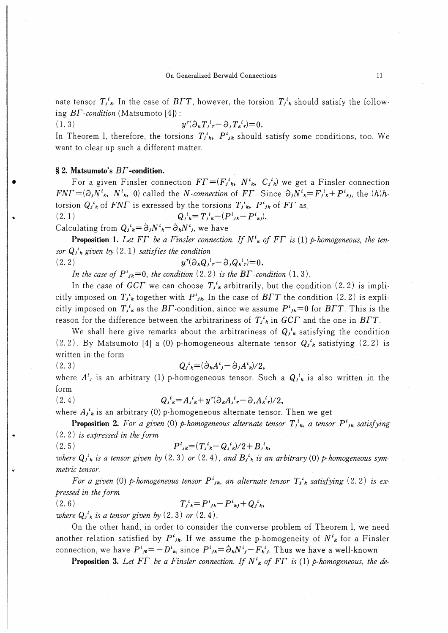nate tensor  $T_{j,k}^i$ . In the case of  $B\Gamma T$ , however, the torsion  $T_{j,k}^i$  should satisfy the following  $BT$ -condition (Matsumoto [4]):

1. 3) y ∂たT/r-a,Tた'r)-0.

In Theorem 1, therefore, the torsions  $T_{jk}^{i}$ ,  $P_{jk}^{i}$  should satisfy some conditions, too. We want to clear up such a different matter.

# § 2. Matsumoto's  $BT$ -condition.

For a given Finsler connection  $FT=(F_i^i_k, N^i_k, C_i^i_k)$  we get a Finsler connection  $FNT=(\partial_jN_{\kappa}^i, N_{\kappa}^i, 0)$  called the N-connection of FT. Since  $\partial_jN_{\kappa}^i=F_{j\kappa}^i+P_{\kappa j}^i$ , the  $(h)h$ torsion  $Q_j{}^i{}_k$  of FNF is exressed by the torsions  $T_j{}^i{}_k$ ,  $P^i{}_{jk}$  of FF as (2. 1) Q/\*- t;た-(PIJた-Piたj).

Calculating from  $Q_j{}^i{}_{\kappa} = \partial_j N^i{}_{\kappa} - \partial_k N^i{}_{j}$ , we have

**Proposition 1.** Let FT be a Finsler connection. If  $N^i_k$  of FT is (1) p-homogeneous, the tensor  $Q_i^k$  given by  $(2.1)$  satisfies the condition

$$
(2.2) \t\t\t y^r (\partial_k Q_j{}^i{}_r - \partial_j Q_k{}^i{}_r) = 0.
$$

In the case of  $P^i_{jk}=0$ , the condition (2.2) is the BT-condition (1.3).

In the case of GCT we can choose  $T_{j,k}^{i}$  arbitrarily, but the condition (2.2) is implicitly imposed on  $T_{j,k}^{i}$  together with  $P^{i}_{jk}$ . In the case of  $B\Gamma T$  the condition (2.2) is explicitly imposed on  $T_{jk}^i$  as the BF-condition, since we assume  $P^i_{jk}=0$  for BFT. This is the reason for the difference between the arbitrariness of  $T_{j,k}^{i}$  in  $GCT$  and the one in  $BTT$ .

We shall here give remarks about the arbitrariness of  $Q_i^i$  satisfying the condition  $(2.2)$ . By Matsumoto [4] a (0) p-homogeneous alternate tensor  $Q_j^i{}_k$  satisfying  $(2.2)$  is written in the form

$$
(2.3) \tQ_j^i{}_{\mathbf{k}} = (\partial_{\mathbf{k}} A^i{}_j - \partial_j A^i{}_{\mathbf{k}})/2,
$$

where  $A^i$  is an arbitrary (1) p-homogeneous tensor. Such a  $Q_i^i$  is also written in the form

(2.4) 
$$
Q_{j k}^{i} = A_{j k}^{i} + y^{r} (\partial_{k} A_{j r}^{i} - \partial_{j} A_{k r}^{i}) / 2,
$$

where  $A_j^i_k$  is an arbitrary (0) p-homogeneous alternate tensor. Then we get

**Proposition 2.** For a given (0) p-homogeneous alternate tensor  $T_{j,k}^i$ , a tensor  $P_{jk}^i$  satisfying (2. 2) is expressed in the form

$$
(2.5) \tP^{i}_{jk} = (T_{j\ k}^{i} - Q_{j\ k}^{i})/2 + B_{j\ k}^{i},
$$

where  $Q_i^i_k$  is a tensor given by (2.3) or (2.4), and  $B_i^i_k$  is an arbitrary (0) p-homogeneous symmetric tensor.

For a given (0) p-homogeneous tensor  $P^i_{jk}$ , an alternate tensor  $T^i_{jk}$  satisfying (2.2) is expressed in the form

(2. 6) TA-P',た-P kj+Q/h

where  $Q_j^i_k$  is a tensor given by  $(2.3)$  or  $(2.4)$ .

On the other hand, in order to consider the converse problem of Theorem 1, we need another relation satisfied by  $P^i_{jk}$ . If we assume the p-homogeneity of  $N^i_{jk}$  for a Finsler connection, we have  $P^i{}_{j0} = -D^i{}_{k}$ , since  $P^i{}_{jk} = \partial_k N^i{}_j - F^i{}_{k}j$ . Thus we have a well-known

**Proposition 3.** Let FT be a Finsler connection. If  $N^i_{\kappa}$  of FT is (1) p-homogeneous, the de-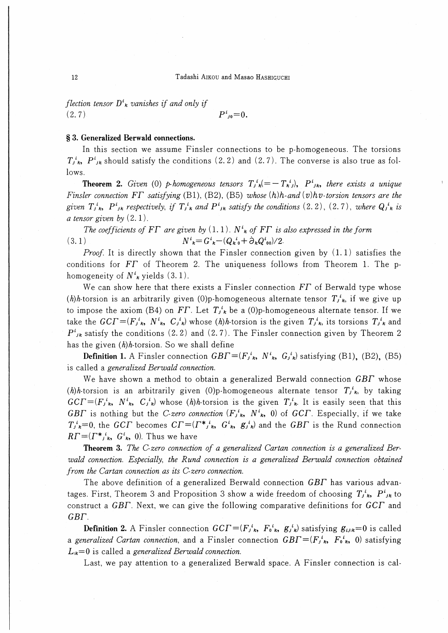# 12 Tadashi Aikou and Masao Hashiguchi

flection tensor  $D^i_{\kappa}$  vanishes if and only if  $(P^i_{i0}=0.$ 

# § 3. Generalized Berwald connections.

In this section we assume Finsler connections to be p-homogeneous. The torsions  $T_{j,k}^{i}$ ,  $P_{j,k}^{i}$  should satisfy the conditions (2.2) and (2.7). The converse is also true as follows.

**Theorem 2.** Given (0) p-homogeneous tensors  $T_i^i{}_{k} (= -T_k^i)$ ,  $P_i^i{}_{k}$ , there exists a unique Finsler connection  $FT$  satisfying (B1), (B2), (B5) whose  $(h)h$ -and  $(v)hv$ -torsion tensors are the given  $T_{j,k}$ ,  $P_{jk}^i$  respectively, if  $T_{j,k}^i$  and  $P_{jk}^i$  satisfy the conditions (2.2), (2.7), where  $Q_{j,k}^i$  is a tensor given by  $(2.1)$ .

The coefficients of FT are given by  $(1, 1)$ . N<sup>t</sup><sub>k</sub> of FT is also expressed in the form (3. 1)  $N^i_{\ k} = G^i_{\ k} - (Q_{k\,0}^i + \partial_k Q^i_{00})/2.$ 

*Proof.* It is directly shown that the Finsler connection given by  $(1.1)$  satisfies the conditions for FT of Theorem 2. The uniqueness follows from Theorem 1. The phomogeneity of  $N^i_k$  yields (3.1).

We can show here that there exists a Finsler connection  $FT$  of Berwald type whose (h)h-torsion is an arbitrarily given (0)p-homogeneous alternate tensor  $T_i^k$ , if we give up to impose the axiom (B4) on FT. Let  $T_i^i$  be a (0)p-homogeneous alternate tensor. If we take the  $GCT=(F_{j,k}^{i}, N^{i}, C_{j,k}^{i})$  whose  $(h)h$ -torsion is the given  $T_{j,k}^{i}$ , its torsions  $T_{j,k}^{i}$  and  $P^{i}_{jk}$  satisfy the conditions (2.2) and (2.7). The Finsler connection given by Theorem 2 has the given  $(h)h$ -torsion. So we shall define

**Definition 1.** A Finsler connection  $GB\Gamma = (F_i^i_k, N^i_k, G_i^i_k)$  satisfying (B1), (B2), (B5) is called a generalized Berwald connection.

We have shown a method to obtain a generalized Berwald connection  $GBT$  whose (h)h-torsion is an arbitrarily given (0)p-homogeneous alternate tensor  $T_i^i$ , by taking  $GCT=(F_{j,k}^i, N^i_k, C_{j,k}^i)$  whose  $(h)h$ -torsion is the given  $T_{j,k}^i$ . It is easily seen that this GBF is nothing but the C-zero connection  $(F_{j,k}^i, N^i_k, 0)$  of GCF. Especially, if we take  $T_{j,k}^i=0$ , the GCT becomes  $CT=(\Gamma^*_{j,k}, G_{k}^i, g_{j,k}^i)$  and the GBT is the Rund connection  $RT = (r^*_{i,k}, G^i_{k}, 0)$ . Thus we have

Theorem 3. The C-zero connection of a generalized Cartan connection is a generalized Berwald connection. Especially, the Rund connection is a generalized Berwald connection obtained from the Cartan connection as its C-zero connection.

The above definition of a generalized Berwald connection GBT has various advantages. First, Theorem 3 and Proposition 3 show a wide freedom of choosing  $T_j^i_k$ ,  $P^i_{jk}$  to construct a  $GB\Gamma$ . Next, we can give the following comparative definitions for  $GCT$  and  $GBT.$ 

**Definition 2.** A Finsler connection  $GCF=(F_i^i_k, F_0^i_k, g_j^i_k)$  satisfying  $g_{ijlk}=0$  is called a generalized Cartan connection, and a Finsler connection  $GB\Gamma = (F_j^i{}_k, F_0^i{}_k, 0)$  satisfying  $L_{ik}=0$  is called a generalized Berwald connection.

Last, we pay attention to a generalized Berwald space. A Finsler connection is cal-